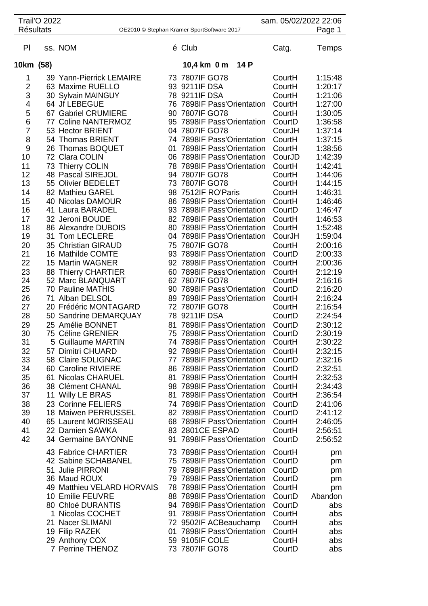|                     | <b>Trail'O 2022</b> |                                                | sam. 05/02/2022 22:06                      |                                                          |                  |                    |
|---------------------|---------------------|------------------------------------------------|--------------------------------------------|----------------------------------------------------------|------------------|--------------------|
| <b>Résultats</b>    |                     |                                                | OE2010 © Stephan Krämer SportSoftware 2017 |                                                          | Page 1           |                    |
| PI                  |                     | ss. NOM                                        |                                            | é Club                                                   | Catg.            | Temps              |
| 10km (58)           |                     |                                                |                                            | 14 P<br>10,4 km 0 m                                      |                  |                    |
| 1                   |                     | 39 Yann-Pierrick LEMAIRE                       |                                            | 73 7807IF GO78                                           | CourtH           | 1:15:48            |
| 2                   |                     | 63 Maxime RUELLO                               |                                            | 93 9211IF DSA                                            | CourtH           | 1:20:17            |
| 3                   |                     | 30 Sylvain MAINGUY                             |                                            | 78 9211IF DSA                                            | CourtH           | 1:21:06            |
| 4                   |                     | 64 Jf LEBEGUE                                  |                                            | 76 7898IF Pass'Orientation                               | CourtH           | 1:27:00            |
| 5                   |                     | 67 Gabriel CRUMIERE                            | 90                                         | 7807IF GO78                                              | CourtH           | 1:30:05            |
| 6                   |                     | 77 Coline NANTERMOZ                            |                                            | 95 7898IF Pass'Orientation                               | CourtD           | 1:36:58            |
| $\overline{7}$<br>8 |                     | 53 Hector BRIENT<br>54 Thomas BRIENT           |                                            | 04 7807IF GO78<br>74 7898IF Pass'Orientation             | CourJH<br>CourtH | 1:37:14<br>1:37:15 |
| 9                   |                     | 26 Thomas BOQUET                               | 01                                         | 7898IF Pass'Orientation                                  | CourtH           | 1:38:56            |
| 10                  |                     | 72 Clara COLIN                                 |                                            | 06 7898IF Pass'Orientation                               | CourJD           | 1:42:39            |
| 11                  |                     | 73 Thierry COLIN                               |                                            | 78 7898IF Pass'Orientation                               | CourtH           | 1:42:41            |
| 12                  |                     | 48 Pascal SIREJOL                              |                                            | 94 7807IF GO78                                           | CourtH           | 1:44:06            |
| 13                  |                     | 55 Olivier BEDELET                             |                                            | 73 7807IF GO78                                           | CourtH           | 1:44:15            |
| 14                  |                     | 82 Mathieu GAREL                               |                                            | 98 7512IF RO'Paris                                       | CourtH           | 1:46:31            |
| 15                  |                     | 40 Nicolas DAMOUR                              |                                            | 86 7898IF Pass'Orientation                               | CourtH           | 1:46:46            |
| 16                  |                     | 41 Laura BARADEL                               |                                            | 93 7898IF Pass'Orientation                               | CourtD           | 1:46:47            |
| 17<br>18            |                     | 32 Jeroni BOUDE<br>86 Alexandre DUBOIS         |                                            | 82 7898IF Pass'Orientation<br>80 7898IF Pass'Orientation | CourtH           | 1:46:53<br>1:52:48 |
| 19                  |                     | 31 Tom LECLERE                                 |                                            | 04 7898IF Pass'Orientation                               | CourtH<br>CourJH | 1:59:04            |
| 20                  |                     | 35 Christian GIRAUD                            |                                            | 75 7807IF GO78                                           | CourtH           | 2:00:16            |
| 21                  |                     | 16 Mathilde COMTE                              |                                            | 93 7898IF Pass'Orientation                               | CourtD           | 2:00:33            |
| 22                  |                     | 15 Martin WAGNER                               |                                            | 92 7898IF Pass'Orientation                               | CourtH           | 2:00:36            |
| 23                  |                     | 88 Thierry CHARTIER                            |                                            | 60 7898IF Pass'Orientation                               | CourtH           | 2:12:19            |
| 24                  |                     | 52 Marc BLANQUART                              |                                            | 62 7807IF GO78                                           | CourtH           | 2:16:16            |
| 25                  |                     | 70 Pauline MATHIS                              |                                            | 90 7898IF Pass'Orientation                               | CourtD           | 2:16:20            |
| 26                  |                     | 71 Alban DELSOL                                |                                            | 89 7898IF Pass'Orientation                               | CourtH           | 2:16:24            |
| 27<br>28            |                     | 20 Frédéric MONTAGARD<br>50 Sandrine DEMARQUAY |                                            | 72 7807IF GO78<br>78 9211IF DSA                          | CourtH<br>CourtD | 2:16:54<br>2:24:54 |
| 29                  |                     | 25 Amélie BONNET                               | 81                                         | 7898IF Pass'Orientation                                  | CourtD           | 2:30:12            |
| 30                  |                     | 75 Céline GRENIER                              |                                            | 75 7898IF Pass'Orientation                               | CourtD           | 2:30:19            |
| 31                  |                     | 5 Guillaume MARTIN                             |                                            | 74 7898IF Pass'Orientation                               | CourtH           | 2:30:22            |
| 32                  |                     | 57 Dimitri CHUARD                              |                                            | 92 7898IF Pass'Orientation                               | CourtH           | 2:32:15            |
| 33                  |                     | 58 Claire SOLIGNAC                             |                                            | 77 7898IF Pass'Orientation                               | CourtD           | 2:32:16            |
| 34                  |                     | 60 Caroline RIVIERE                            |                                            | 86 7898IF Pass'Orientation                               | CourtD           | 2:32:51            |
| 35                  |                     | 61 Nicolas CHARUEL                             |                                            | 81 7898IF Pass'Orientation                               | CourtH           | 2:32:53            |
| 36<br>37            |                     | 38 Clément CHANAL<br>11 Willy LE BRAS          |                                            | 98 7898IF Pass'Orientation<br>81 7898IF Pass'Orientation | CourtH<br>CourtH | 2:34:43<br>2:36:54 |
| 38                  |                     | 23 Corinne FELIERS                             |                                            | 74 7898IF Pass'Orientation                               | CourtD           | 2:41:06            |
| 39                  |                     | 18 Maiwen PERRUSSEL                            |                                            | 82 7898IF Pass'Orientation                               | CourtD           | 2:41:12            |
| 40                  |                     | 65 Laurent MORISSEAU                           |                                            | 68 7898IF Pass'Orientation                               | CourtH           | 2:46:05            |
| 41                  |                     | 22 Damien SAWKA                                |                                            | 83 2801CE ESPAD                                          | CourtH           | 2:56:51            |
| 42                  |                     | 34 Germaine BAYONNE                            |                                            | 91 7898IF Pass'Orientation                               | CourtD           | 2:56:52            |
|                     |                     | 43 Fabrice CHARTIER                            |                                            | 73 7898IF Pass'Orientation                               | CourtH           | pm                 |
|                     |                     | 42 Sabine SCHABANEL                            |                                            | 75 7898IF Pass'Orientation                               | CourtD           | pm                 |
|                     |                     | 51 Julie PIRRONI                               |                                            | 79 7898IF Pass'Orientation                               | CourtD           | pm                 |
|                     |                     | 36 Maud ROUX                                   |                                            | 79 7898IF Pass'Orientation                               | CourtD           | pm                 |
|                     |                     | 49 Matthieu VELARD HORVAIS                     |                                            | 78 7898IF Pass'Orientation                               | CourtH           | pm                 |
|                     |                     | 10 Emilie FEUVRE                               |                                            | 88 7898IF Pass'Orientation                               | CourtD           | Abandon            |
|                     |                     | 80 Chloé DURANTIS<br>1 Nicolas COCHET          | 91                                         | 94 7898IF Pass'Orientation<br>7898IF Pass'Orientation    | CourtD<br>CourtH | abs<br>abs         |
|                     |                     | 21 Nacer SLIMANI                               |                                            | 72 9502IF ACBeauchamp                                    | CourtH           | abs                |
|                     |                     | 19 Filip RAZEK                                 | 01                                         | 7898IF Pass'Orientation                                  | CourtH           | abs                |
|                     |                     | 29 Anthony COX                                 |                                            | 59 9105IF COLE                                           | CourtH           | abs                |
|                     |                     | 7 Perrine THENOZ                               |                                            | 73 7807IF GO78                                           | CourtD           | abs                |
|                     |                     |                                                |                                            |                                                          |                  |                    |